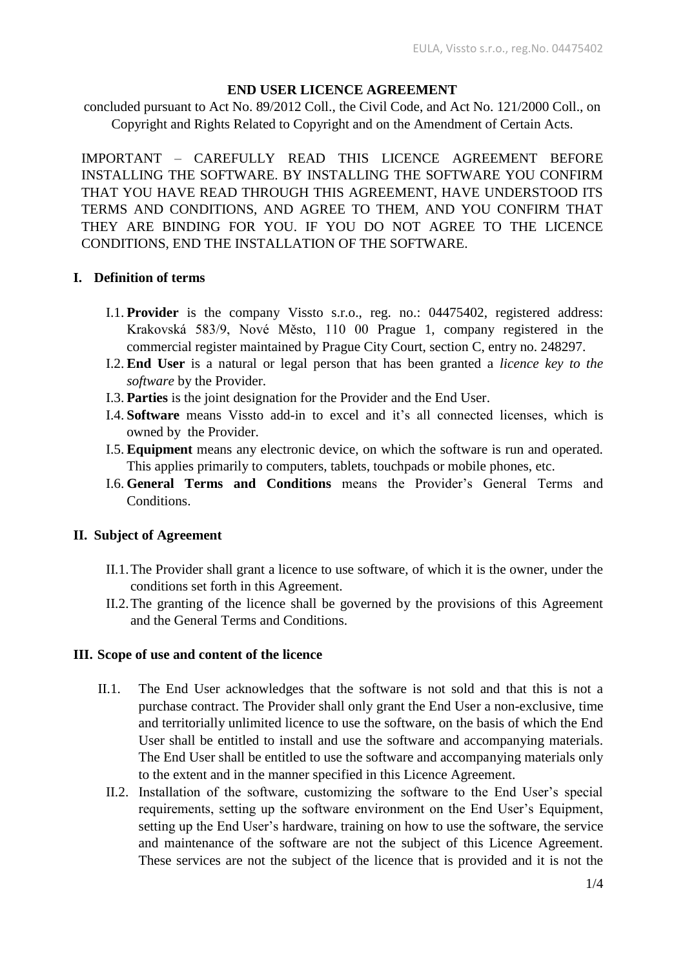# **END USER LICENCE AGREEMENT**

concluded pursuant to Act No. 89/2012 Coll., the Civil Code, and Act No. 121/2000 Coll., on Copyright and Rights Related to Copyright and on the Amendment of Certain Acts.

IMPORTANT – CAREFULLY READ THIS LICENCE AGREEMENT BEFORE INSTALLING THE SOFTWARE. BY INSTALLING THE SOFTWARE YOU CONFIRM THAT YOU HAVE READ THROUGH THIS AGREEMENT, HAVE UNDERSTOOD ITS TERMS AND CONDITIONS, AND AGREE TO THEM, AND YOU CONFIRM THAT THEY ARE BINDING FOR YOU. IF YOU DO NOT AGREE TO THE LICENCE CONDITIONS, END THE INSTALLATION OF THE SOFTWARE.

## **I. Definition of terms**

- I.1. **Provider** is the company Vissto s.r.o., reg. no.: 04475402, registered address: Krakovská 583/9, Nové Město, 110 00 Prague 1, company registered in the commercial register maintained by Prague City Court, section C, entry no. 248297.
- I.2. **End User** is a natural or legal person that has been granted a *licence key to the software* by the Provider.
- I.3. **Parties** is the joint designation for the Provider and the End User.
- I.4. **Software** means Vissto add-in to excel and it's all connected licenses, which is owned by the Provider.
- I.5. **Equipment** means any electronic device, on which the software is run and operated. This applies primarily to computers, tablets, touchpads or mobile phones, etc.
- I.6. **General Terms and Conditions** means the Provider's General Terms and Conditions.

# **II. Subject of Agreement**

- II.1.The Provider shall grant a licence to use software, of which it is the owner, under the conditions set forth in this Agreement.
- II.2.The granting of the licence shall be governed by the provisions of this Agreement and the General Terms and Conditions.

### **III. Scope of use and content of the licence**

- II.1. The End User acknowledges that the software is not sold and that this is not a purchase contract. The Provider shall only grant the End User a non-exclusive, time and territorially unlimited licence to use the software, on the basis of which the End User shall be entitled to install and use the software and accompanying materials. The End User shall be entitled to use the software and accompanying materials only to the extent and in the manner specified in this Licence Agreement.
	- II.2. Installation of the software, customizing the software to the End User's special requirements, setting up the software environment on the End User's Equipment, setting up the End User's hardware, training on how to use the software, the service and maintenance of the software are not the subject of this Licence Agreement. These services are not the subject of the licence that is provided and it is not the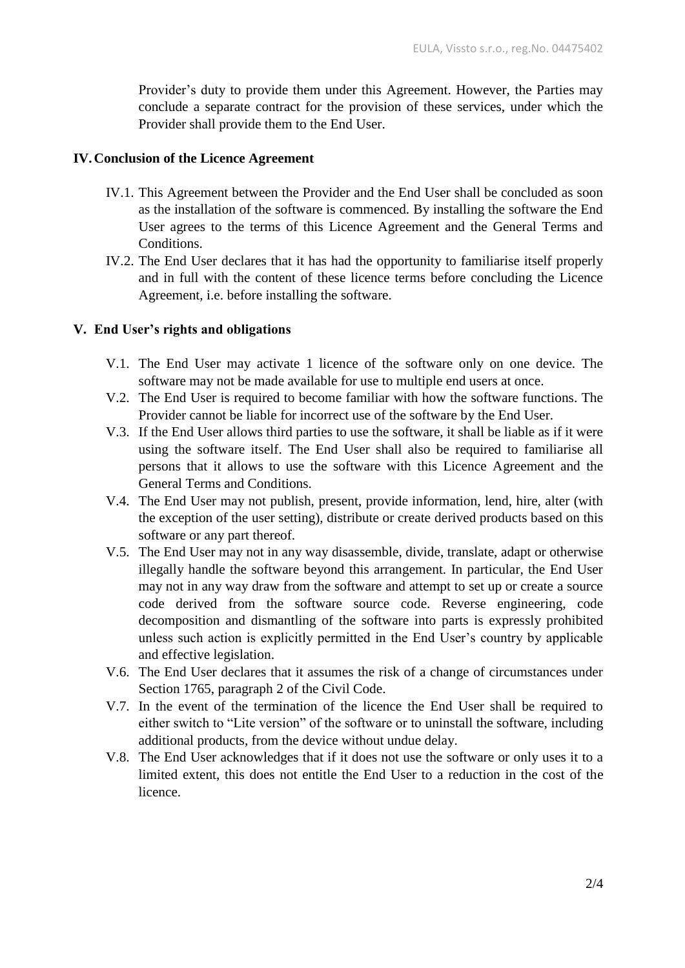Provider's duty to provide them under this Agreement. However, the Parties may conclude a separate contract for the provision of these services, under which the Provider shall provide them to the End User.

## **IV.Conclusion of the Licence Agreement**

- IV.1. This Agreement between the Provider and the End User shall be concluded as soon as the installation of the software is commenced. By installing the software the End User agrees to the terms of this Licence Agreement and the General Terms and Conditions.
- IV.2. The End User declares that it has had the opportunity to familiarise itself properly and in full with the content of these licence terms before concluding the Licence Agreement, i.e. before installing the software.

# **V. End User's rights and obligations**

- V.1. The End User may activate 1 licence of the software only on one device. The software may not be made available for use to multiple end users at once.
- V.2. The End User is required to become familiar with how the software functions. The Provider cannot be liable for incorrect use of the software by the End User.
- V.3. If the End User allows third parties to use the software, it shall be liable as if it were using the software itself. The End User shall also be required to familiarise all persons that it allows to use the software with this Licence Agreement and the General Terms and Conditions.
- V.4. The End User may not publish, present, provide information, lend, hire, alter (with the exception of the user setting), distribute or create derived products based on this software or any part thereof.
- V.5. The End User may not in any way disassemble, divide, translate, adapt or otherwise illegally handle the software beyond this arrangement. In particular, the End User may not in any way draw from the software and attempt to set up or create a source code derived from the software source code. Reverse engineering, code decomposition and dismantling of the software into parts is expressly prohibited unless such action is explicitly permitted in the End User's country by applicable and effective legislation.
- V.6. The End User declares that it assumes the risk of a change of circumstances under Section 1765, paragraph 2 of the Civil Code.
- V.7. In the event of the termination of the licence the End User shall be required to either switch to "Lite version" of the software or to uninstall the software, including additional products, from the device without undue delay.
- V.8. The End User acknowledges that if it does not use the software or only uses it to a limited extent, this does not entitle the End User to a reduction in the cost of the licence.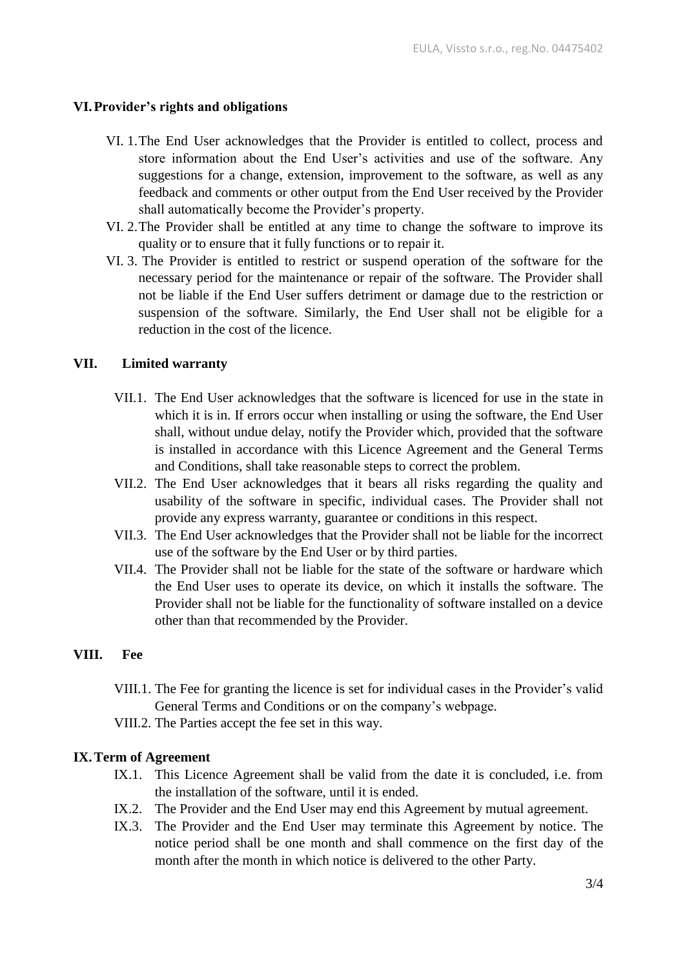## **VI.Provider's rights and obligations**

- VI. 1.The End User acknowledges that the Provider is entitled to collect, process and store information about the End User's activities and use of the software. Any suggestions for a change, extension, improvement to the software, as well as any feedback and comments or other output from the End User received by the Provider shall automatically become the Provider's property.
- VI. 2.The Provider shall be entitled at any time to change the software to improve its quality or to ensure that it fully functions or to repair it.
- VI. 3. The Provider is entitled to restrict or suspend operation of the software for the necessary period for the maintenance or repair of the software. The Provider shall not be liable if the End User suffers detriment or damage due to the restriction or suspension of the software. Similarly, the End User shall not be eligible for a reduction in the cost of the licence.

### **VII. Limited warranty**

- VII.1. The End User acknowledges that the software is licenced for use in the state in which it is in. If errors occur when installing or using the software, the End User shall, without undue delay, notify the Provider which, provided that the software is installed in accordance with this Licence Agreement and the General Terms and Conditions, shall take reasonable steps to correct the problem.
- VII.2. The End User acknowledges that it bears all risks regarding the quality and usability of the software in specific, individual cases. The Provider shall not provide any express warranty, guarantee or conditions in this respect.
- VII.3. The End User acknowledges that the Provider shall not be liable for the incorrect use of the software by the End User or by third parties.
- VII.4. The Provider shall not be liable for the state of the software or hardware which the End User uses to operate its device, on which it installs the software. The Provider shall not be liable for the functionality of software installed on a device other than that recommended by the Provider.

### **VIII. Fee**

- VIII.1. The Fee for granting the licence is set for individual cases in the Provider's valid General Terms and Conditions or on the company's webpage.
- VIII.2. The Parties accept the fee set in this way.

### **IX.Term of Agreement**

- IX.1. This Licence Agreement shall be valid from the date it is concluded, i.e. from the installation of the software, until it is ended.
- IX.2. The Provider and the End User may end this Agreement by mutual agreement.
- IX.3. The Provider and the End User may terminate this Agreement by notice. The notice period shall be one month and shall commence on the first day of the month after the month in which notice is delivered to the other Party.